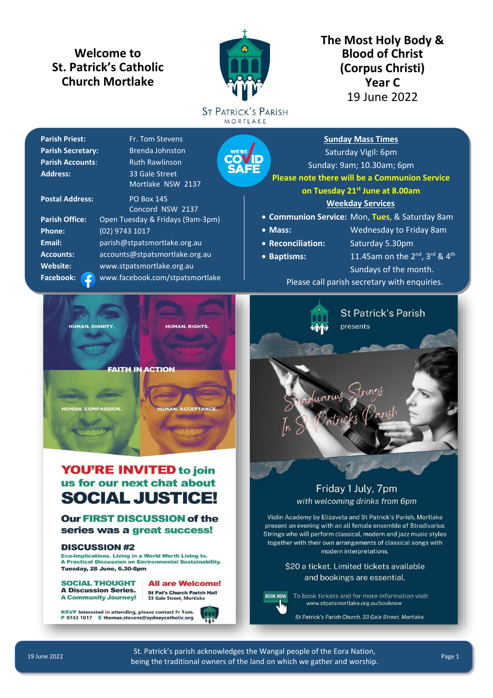# **Welcome to St. Patrick's Catholic Church Mortlake**



**The Most Holy Body & Blood of Christ (Corpus Christi) Year C** 19 June 2022

**ST PATRICK'S PARISH** MORTLAKE

| <b>Parish Priest:</b>    | Fr. Tom Stevens                  |
|--------------------------|----------------------------------|
| <b>Parish Secretary:</b> | <b>Brenda Johnston</b><br>Y      |
| <b>Parish Accounts:</b>  | <b>Ruth Rawlinson</b>            |
| <b>Address:</b>          | 33 Gale Street                   |
|                          | Mortlake NSW 2137                |
| <b>Postal Address:</b>   | <b>PO Box 145</b>                |
|                          | Concord NSW 2137                 |
| <b>Parish Office:</b>    | Open Tuesday & Fridays (9am-3pm) |
| Phone:                   | (02) 9743 1017                   |
| Email:                   | parish@stpatsmortlake.org.au     |

**Accounts:** [accounts@stpatsmortlake.org.au](mailto:accounts@stpatsmortlake.org.au) **Website:** [www.stpatsmortlake.org.au](https://www.stpatsmortlake.org.au/)

Facebook: C [www.facebook.com/stpatsmortlake](http://www.facebook.com/stpatsmortlake)

Saturday Vigil: 6pm Sunday: 9am; 10.30am; 6pm **Please note there will be a Communion Service on Tuesday 21st June at 8.00am Weekday Services**

**Sunday Mass Times**

- **Communion Service:** Mon, **Tues**, & Saturday 8am
- **Mass:** Wednesday to Friday 8am
- **Reconciliation:** Saturday 5.30pm
- 
- **Baptisms:** 11.45am on the  $2^{nd}$ ,  $3^{rd}$  &  $4^{th}$ Sundays of the month.

[Please call parish secretary with enquiries.](https://www.stpatsmortlake.org.au/booknow/)



# **YOU'RE INVITED to join** us for our next chat about **SOCIAL JUSTICE!**

### **Our FIRST DISCUSSION of the** series was a great success!

#### **DISCUSSION #2**

Eco-Implications. Living in a World Worth Living In. **A Practical Discussion on Environmental Sustainability.** Tuesday, 28 June, 6.30-8pm

**SOCIAL THOUGHT A Discussion Series. A Community Journey!**  **All are Welcome! St Pat's Church Parish Hall** 33 Gale Street, Mortlake

RSVP Interested in attending, please contact Fr Tom. P 9743 1017 E thomas.stevens@sydneycatholic.org





## Friday 1 July, 7pm with welcoming drinks from 6pm

Violin Academy by Elizaveta and St Patrick's Parish, Mortlake present an evening with an all female ensemble of Stradivarius Strings who will perform classical, modern and jazz music styles together with their own arrangements of classical songs with modern interpretations.

> \$20 a ticket. Limited tickets available and bookings are essential.



To book tickets and for more information visit: www.stpatsmortlake.org.au/booknow

St Patrick's Parish Church, 33 Gale Street, Mortlake

St. Patrick's parish acknowledges the Wangal people of the Eora Nation, being the traditional owners of the land on which we gather and worship.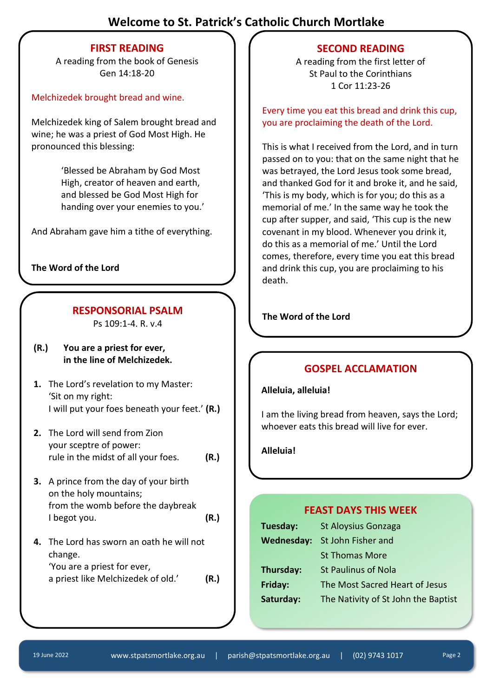# **Welcome to St. Patrick's Catholic Church Mortlake**

## **FIRST READING**

A reading from the book of Genesis Gen 14:18-20

### Melchizedek brought bread and wine.

Melchizedek king of Salem brought bread and wine; he was a priest of God Most High. He pronounced this blessing:

> 'Blessed be Abraham by God Most High, creator of heaven and earth, and blessed be God Most High for handing over your enemies to you.'

And Abraham gave him a tithe of everything.

**The Word of the Lord**

# **RESPONSORIAL PSALM** The Word of the Lord

Ps 109:1-4. R. v.4

- **(R.) You are a priest for ever, in the line of Melchizedek.**
- **1.** The Lord's revelation to my Master: 'Sit on my right: I will put your foes beneath your feet.' **(R.)**
- **2.** The Lord will send from Zion your sceptre of power: rule in the midst of all your foes. **(R.)**
- **3.** A prince from the day of your birth on the holy mountains; from the womb before the daybreak I begot you. **(R.)**
- **4.** The Lord has sworn an oath he will not change. 'You are a priest for ever, a priest like Melchizedek of old.' **(R.)**

## **SECOND READING**

A reading from the first letter of St Paul to the Corinthians 1 Cor 11:23-26

Every time you eat this bread and drink this cup, you are proclaiming the death of the Lord.

This is what I received from the Lord, and in turn passed on to you: that on the same night that he was betrayed, the Lord Jesus took some bread, and thanked God for it and broke it, and he said, 'This is my body, which is for you; do this as a memorial of me.' In the same way he took the cup after supper, and said, 'This cup is the new covenant in my blood. Whenever you drink it, do this as a memorial of me.' Until the Lord comes, therefore, every time you eat this bread and drink this cup, you are proclaiming to his death.

## **GOSPEL ACCLAMATION**

**Alleluia, alleluia!**

I am the living bread from heaven, says the Lord; whoever eats this bread will live for ever.

**Alleluia!**

## **FEAST DAYS THIS WEEK**

| Tuesday:          | <b>St Aloysius Gonzaga</b>          |
|-------------------|-------------------------------------|
| <b>Wednesday:</b> | St John Fisher and                  |
|                   | <b>St Thomas More</b>               |
| Thursday:         | <b>St Paulinus of Nola</b>          |
| Friday:           | The Most Sacred Heart of Jesus      |
| Saturday:         | The Nativity of St John the Baptist |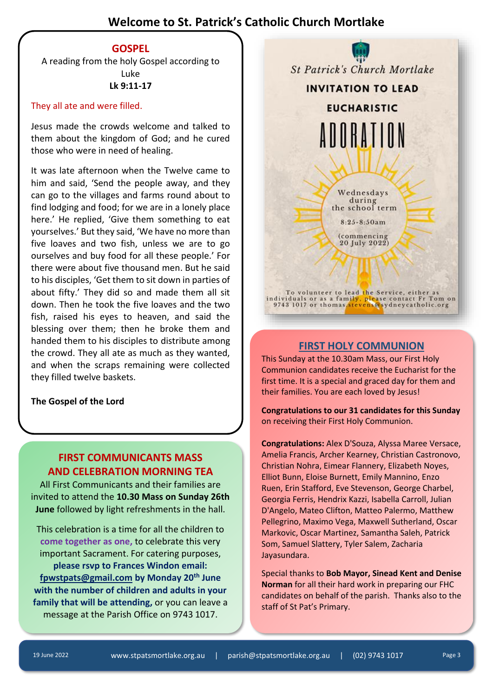# **Welcome to St. Patrick's Catholic Church Mortlake**

#### **GOSPEL**

A reading from the holy Gospel according to Luke **Lk 9:11-17**

#### They all ate and were filled.

Jesus made the crowds welcome and talked to them about the kingdom of God; and he cured those who were in need of healing.

It was late afternoon when the Twelve came to him and said, 'Send the people away, and they can go to the villages and farms round about to find lodging and food; for we are in a lonely place here.' He replied, 'Give them something to eat yourselves.' But they said, 'We have no more than five loaves and two fish, unless we are to go ourselves and buy food for all these people.' For there were about five thousand men. But he said to his disciples, 'Get them to sit down in parties of about fifty.' They did so and made them all sit down. Then he took the five loaves and the two fish, raised his eyes to heaven, and said the blessing over them; then he broke them and handed them to his disciples to distribute among the crowd. They all ate as much as they wanted, and when the scraps remaining were collected they filled twelve baskets.

**The Gospel of the Lord**

## **FIRST COMMUNICANTS MASS AND CELEBRATION MORNING TEA**

All First Communicants and their families are invited to attend the **10.30 Mass on Sunday 26th June** followed by light refreshments in the hall.

This celebration is a time for all the children to **come together as one,** to celebrate this very important Sacrament. For catering purposes, **please rsvp to Frances Windon email: [fpwstpats@gmail.com](mailto:fpwstpats@gmail.com) by Monday 20th June with the number of children and adults in your family that will be attending,** or you can leave a message at the Parish Office on 9743 1017.



#### **FIRST HOLY COMMUNION**

This Sunday at the 10.30am Mass, our First Holy Communion candidates receive the Eucharist for the first time. It is a special and graced day for them and their families. You are each loved by Jesus!

**Congratulations to our 31 candidates for this Sunday** on receiving their First Holy Communion.

**Congratulations:** Alex D'Souza, Alyssa Maree Versace, Amelia Francis, Archer Kearney, Christian Castronovo, Christian Nohra, Eimear Flannery, Elizabeth Noyes, Elliot Bunn, Eloise Burnett, Emily Mannino, Enzo Ruen, Erin Stafford, Eve Stevenson, George Charbel, Georgia Ferris, Hendrix Kazzi, Isabella Carroll, Julian D'Angelo, Mateo Clifton, Matteo Palermo, Matthew Pellegrino, Maximo Vega, Maxwell Sutherland, Oscar Markovic, Oscar Martinez, Samantha Saleh, Patrick Som, Samuel Slattery, Tyler Salem, Zacharia Jayasundara.

Special thanks to **Bob Mayor, Sinead Kent and Denise Norman** for all their hard work in preparing our FHC candidates on behalf of the parish. Thanks also to the staff of St Pat's Primary.